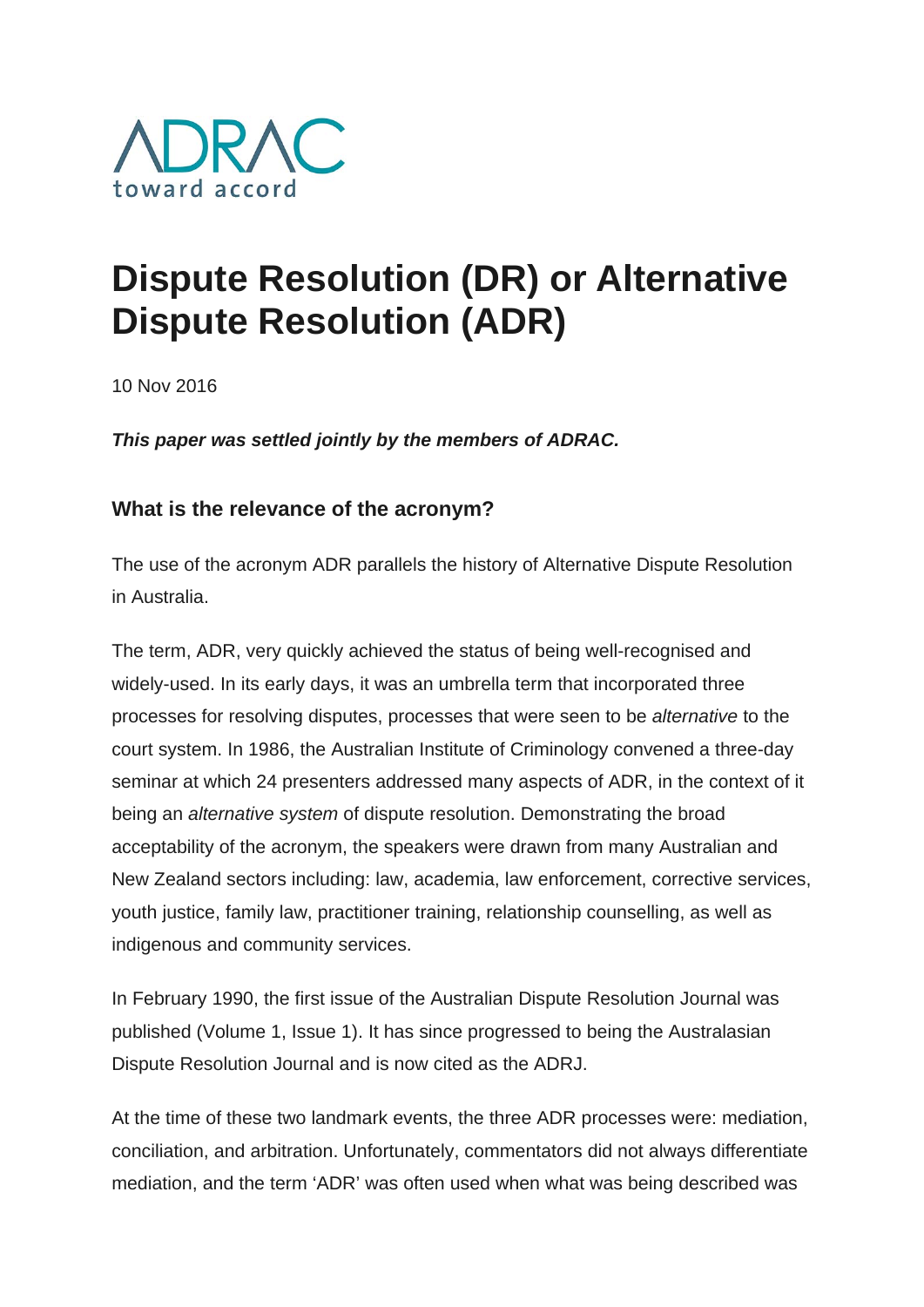

## **Dispute Resolution (DR) or Alternative Dispute Resolution (ADR)**

10 Nov 2016

*This paper was settled jointly by the members of ADRAC.*

## **What is the relevance of the acronym?**

The use of the acronym ADR parallels the history of Alternative Dispute Resolution in Australia.

The term, ADR, very quickly achieved the status of being well-recognised and widely-used. In its early days, it was an umbrella term that incorporated three processes for resolving disputes, processes that were seen to be *alternative* to the court system. In 1986, the Australian Institute of Criminology convened a three-day seminar at which 24 presenters addressed many aspects of ADR, in the context of it being an *alternative system* of dispute resolution. Demonstrating the broad acceptability of the acronym, the speakers were drawn from many Australian and New Zealand sectors including: law, academia, law enforcement, corrective services, youth justice, family law, practitioner training, relationship counselling, as well as indigenous and community services.

In February 1990, the first issue of the Australian Dispute Resolution Journal was published (Volume 1, Issue 1). It has since progressed to being the Australasian Dispute Resolution Journal and is now cited as the ADRJ.

At the time of these two landmark events, the three ADR processes were: mediation, conciliation, and arbitration. Unfortunately, commentators did not always differentiate mediation, and the term 'ADR' was often used when what was being described was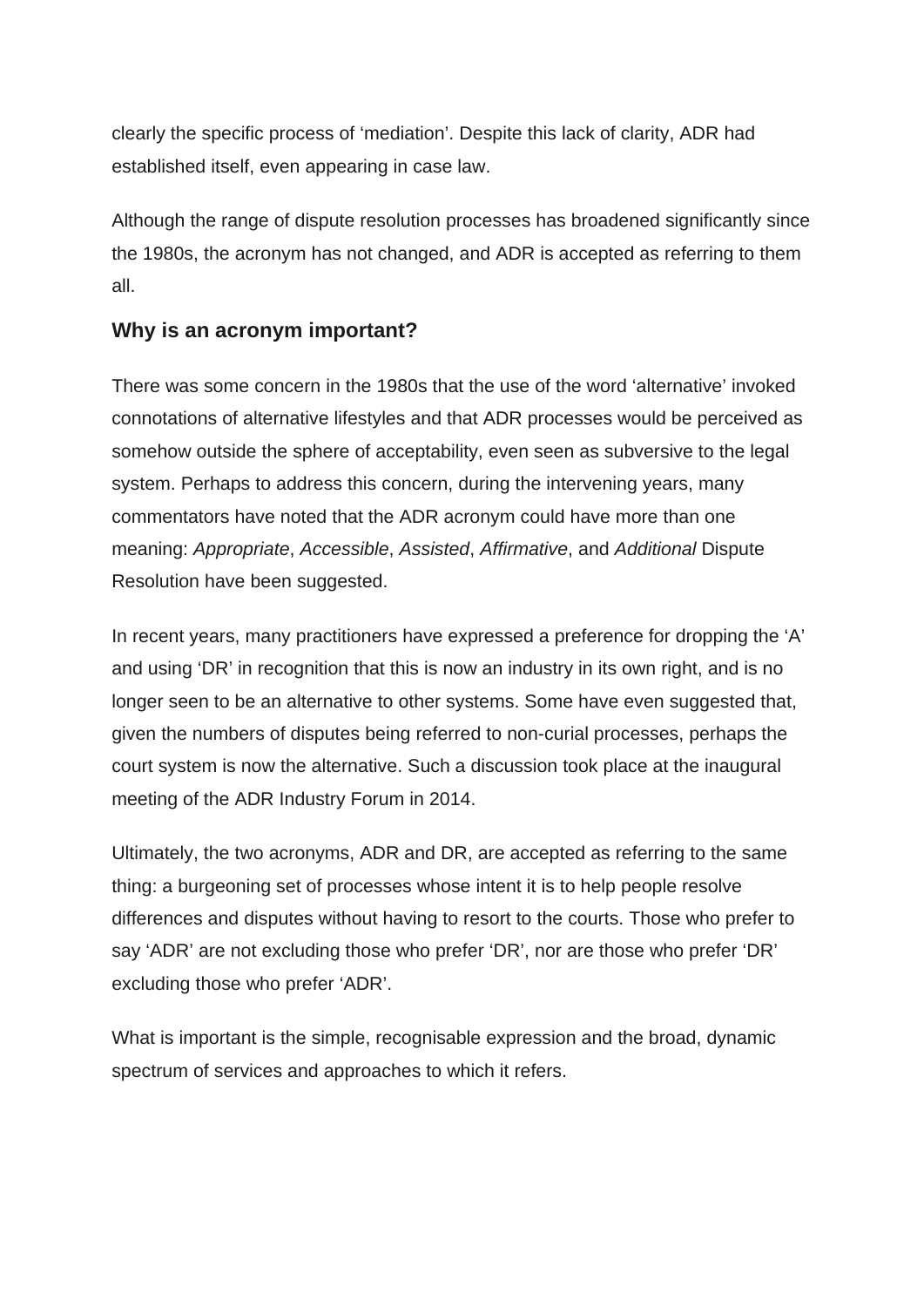clearly the specific process of 'mediation'. Despite this lack of clarity, ADR had established itself, even appearing in case law.

Although the range of dispute resolution processes has broadened significantly since the 1980s, the acronym has not changed, and ADR is accepted as referring to them all.

## **Why is an acronym important?**

There was some concern in the 1980s that the use of the word 'alternative' invoked connotations of alternative lifestyles and that ADR processes would be perceived as somehow outside the sphere of acceptability, even seen as subversive to the legal system. Perhaps to address this concern, during the intervening years, many commentators have noted that the ADR acronym could have more than one meaning: *Appropriate*, *Accessible*, *Assisted*, *Affirmative*, and *Additional* Dispute Resolution have been suggested.

In recent years, many practitioners have expressed a preference for dropping the 'A' and using 'DR' in recognition that this is now an industry in its own right, and is no longer seen to be an alternative to other systems. Some have even suggested that, given the numbers of disputes being referred to non-curial processes, perhaps the court system is now the alternative. Such a discussion took place at the inaugural meeting of the ADR Industry Forum in 2014.

Ultimately, the two acronyms, ADR and DR, are accepted as referring to the same thing: a burgeoning set of processes whose intent it is to help people resolve differences and disputes without having to resort to the courts. Those who prefer to say 'ADR' are not excluding those who prefer 'DR', nor are those who prefer 'DR' excluding those who prefer 'ADR'.

What is important is the simple, recognisable expression and the broad, dynamic spectrum of services and approaches to which it refers.